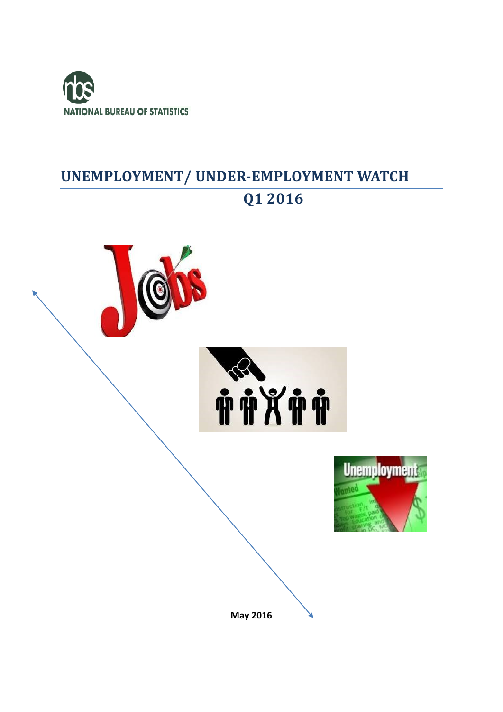

## **UNEMPLOYMENT/ UNDER-EMPLOYMENT WATCH**

# **Q1 2016**

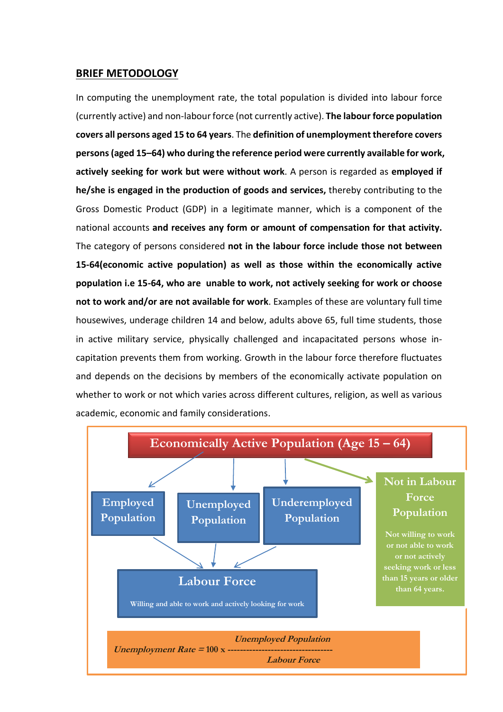#### **BRIEF METODOLOGY**

In computing the unemployment rate, the total population is divided into labour force (currently active) and non-labourforce (not currently active). **The labour force population covers all persons aged 15 to 64 years**. The **definition of unemployment therefore covers persons(aged 15–64) who during the reference period were currently available for work, actively seeking for work but were without work**. A person is regarded as **employed if he/she is engaged in the production of goods and services,** thereby contributing to the Gross Domestic Product (GDP) in a legitimate manner, which is a component of the national accounts **and receives any form or amount of compensation for that activity.** The category of persons considered **not in the labour force include those not between 15-64(economic active population) as well as those within the economically active population i.e 15-64, who are unable to work, not actively seeking for work or choose not to work and/or are not available for work**. Examples of these are voluntary full time housewives, underage children 14 and below, adults above 65, full time students, those in active military service, physically challenged and incapacitated persons whose incapitation prevents them from working. Growth in the labour force therefore fluctuates and depends on the decisions by members of the economically activate population on whether to work or not which varies across different cultures, religion, as well as various academic, economic and family considerations.

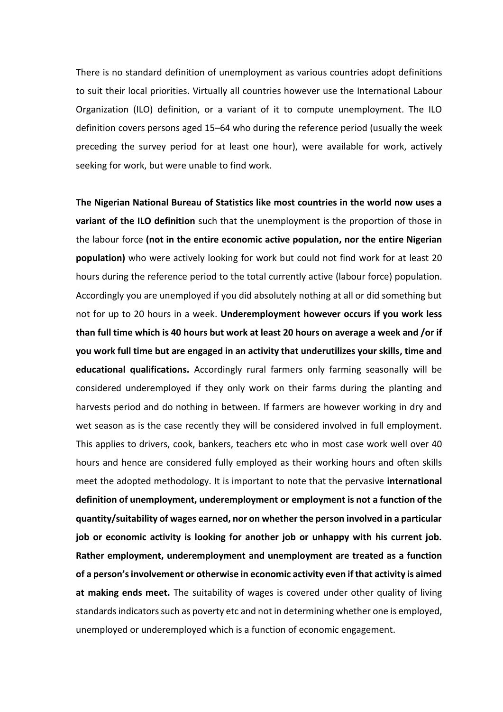There is no standard definition of unemployment as various countries adopt definitions to suit their local priorities. Virtually all countries however use the International Labour Organization (ILO) definition, or a variant of it to compute unemployment. The ILO definition covers persons aged 15–64 who during the reference period (usually the week preceding the survey period for at least one hour), were available for work, actively seeking for work, but were unable to find work.

**The Nigerian National Bureau of Statistics like most countries in the world now uses a variant of the ILO definition** such that the unemployment is the proportion of those in the labour force **(not in the entire economic active population, nor the entire Nigerian population)** who were actively looking for work but could not find work for at least 20 hours during the reference period to the total currently active (labour force) population. Accordingly you are unemployed if you did absolutely nothing at all or did something but not for up to 20 hours in a week. **Underemployment however occurs if you work less than full time which is 40 hours but work at least 20 hours on average a week and /or if you work full time but are engaged in an activity that underutilizes your skills, time and educational qualifications.** Accordingly rural farmers only farming seasonally will be considered underemployed if they only work on their farms during the planting and harvests period and do nothing in between. If farmers are however working in dry and wet season as is the case recently they will be considered involved in full employment. This applies to drivers, cook, bankers, teachers etc who in most case work well over 40 hours and hence are considered fully employed as their working hours and often skills meet the adopted methodology. It is important to note that the pervasive **international definition of unemployment, underemployment or employment is not a function of the quantity/suitability of wages earned, nor on whether the person involved in a particular job or economic activity is looking for another job or unhappy with his current job. Rather employment, underemployment and unemployment are treated as a function of a person's involvement or otherwise in economic activity even if that activity is aimed at making ends meet.** The suitability of wages is covered under other quality of living standards indicators such as poverty etc and not in determining whether one is employed, unemployed or underemployed which is a function of economic engagement.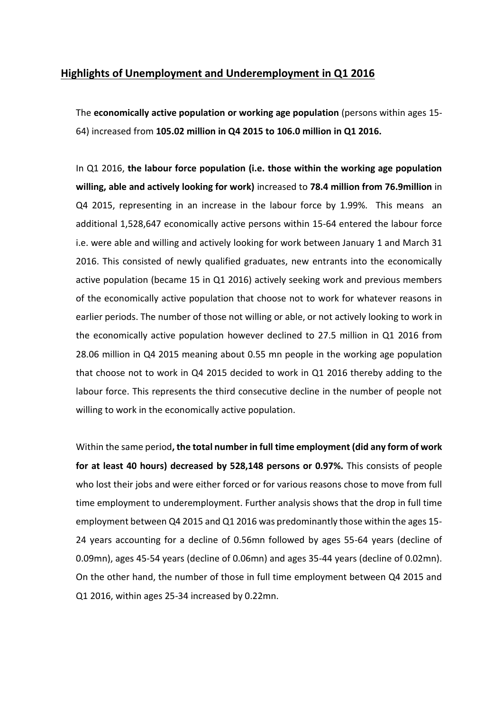### **Highlights of Unemployment and Underemployment in Q1 2016**

The **economically active population or working age population** (persons within ages 15- 64) increased from **105.02 million in Q4 2015 to 106.0 million in Q1 2016.** 

In Q1 2016, **the labour force population (i.e. those within the working age population willing, able and actively looking for work)** increased to **78.4 million from 76.9million** in Q4 2015, representing in an increase in the labour force by 1.99%. This means an additional 1,528,647 economically active persons within 15-64 entered the labour force i.e. were able and willing and actively looking for work between January 1 and March 31 2016. This consisted of newly qualified graduates, new entrants into the economically active population (became 15 in Q1 2016) actively seeking work and previous members of the economically active population that choose not to work for whatever reasons in earlier periods. The number of those not willing or able, or not actively looking to work in the economically active population however declined to 27.5 million in Q1 2016 from 28.06 million in Q4 2015 meaning about 0.55 mn people in the working age population that choose not to work in Q4 2015 decided to work in Q1 2016 thereby adding to the labour force. This represents the third consecutive decline in the number of people not willing to work in the economically active population.

Within the same period**, the total number in full time employment (did any form of work for at least 40 hours) decreased by 528,148 persons or 0.97%.** This consists of people who lost their jobs and were either forced or for various reasons chose to move from full time employment to underemployment. Further analysis shows that the drop in full time employment between Q4 2015 and Q1 2016 was predominantly those within the ages 15- 24 years accounting for a decline of 0.56mn followed by ages 55-64 years (decline of 0.09mn), ages 45-54 years (decline of 0.06mn) and ages 35-44 years (decline of 0.02mn). On the other hand, the number of those in full time employment between Q4 2015 and Q1 2016, within ages 25-34 increased by 0.22mn.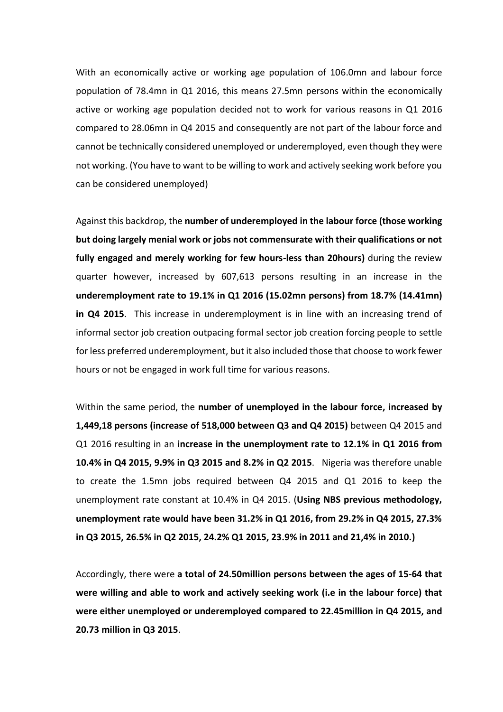With an economically active or working age population of 106.0mn and labour force population of 78.4mn in Q1 2016, this means 27.5mn persons within the economically active or working age population decided not to work for various reasons in Q1 2016 compared to 28.06mn in Q4 2015 and consequently are not part of the labour force and cannot be technically considered unemployed or underemployed, even though they were not working. (You have to want to be willing to work and actively seeking work before you can be considered unemployed)

Against this backdrop, the **number of underemployed in the labour force (those working but doing largely menial work or jobs not commensurate with their qualifications or not fully engaged and merely working for few hours-less than 20hours)** during the review quarter however, increased by 607,613 persons resulting in an increase in the **underemployment rate to 19.1% in Q1 2016 (15.02mn persons) from 18.7% (14.41mn) in Q4 2015**. This increase in underemployment is in line with an increasing trend of informal sector job creation outpacing formal sector job creation forcing people to settle for less preferred underemployment, but it also included those that choose to work fewer hours or not be engaged in work full time for various reasons.

Within the same period, the **number of unemployed in the labour force, increased by 1,449,18 persons (increase of 518,000 between Q3 and Q4 2015)** between Q4 2015 and Q1 2016 resulting in an **increase in the unemployment rate to 12.1% in Q1 2016 from 10.4% in Q4 2015, 9.9% in Q3 2015 and 8.2% in Q2 2015**. Nigeria was therefore unable to create the 1.5mn jobs required between Q4 2015 and Q1 2016 to keep the unemployment rate constant at 10.4% in Q4 2015. (**Using NBS previous methodology, unemployment rate would have been 31.2% in Q1 2016, from 29.2% in Q4 2015, 27.3% in Q3 2015, 26.5% in Q2 2015, 24.2% Q1 2015, 23.9% in 2011 and 21,4% in 2010.)**

Accordingly, there were **a total of 24.50million persons between the ages of 15-64 that were willing and able to work and actively seeking work (i.e in the labour force) that were either unemployed or underemployed compared to 22.45million in Q4 2015, and 20.73 million in Q3 2015**.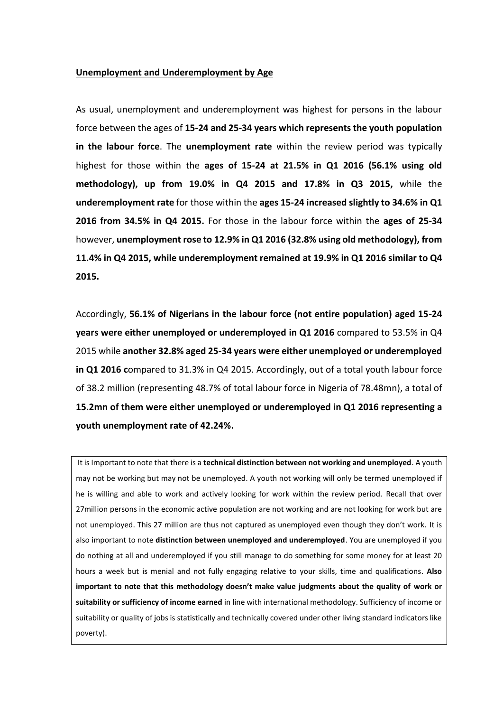#### **Unemployment and Underemployment by Age**

As usual, unemployment and underemployment was highest for persons in the labour force between the ages of **15-24 and 25-34 years which represents the youth population in the labour force**. The **unemployment rate** within the review period was typically highest for those within the **ages of 15-24 at 21.5% in Q1 2016 (56.1% using old methodology), up from 19.0% in Q4 2015 and 17.8% in Q3 2015,** while the **underemployment rate** for those within the **ages 15-24 increased slightly to 34.6% in Q1 2016 from 34.5% in Q4 2015.** For those in the labour force within the **ages of 25-34** however, **unemployment rose to 12.9% in Q1 2016 (32.8% using old methodology), from 11.4% in Q4 2015, while underemployment remained at 19.9% in Q1 2016 similar to Q4 2015.**

Accordingly, **56.1% of Nigerians in the labour force (not entire population) aged 15-24 years were either unemployed or underemployed in Q1 2016** compared to 53.5% in Q4 2015 while **another 32.8% aged 25-34 years were either unemployed or underemployed in Q1 2016 c**ompared to 31.3% in Q4 2015. Accordingly, out of a total youth labour force of 38.2 million (representing 48.7% of total labour force in Nigeria of 78.48mn), a total of **15.2mn of them were either unemployed or underemployed in Q1 2016 representing a youth unemployment rate of 42.24%.**

It is Important to note that there is a **technical distinction between not working and unemployed**. A youth may not be working but may not be unemployed. A youth not working will only be termed unemployed if he is willing and able to work and actively looking for work within the review period. Recall that over 27million persons in the economic active population are not working and are not looking for work but are not unemployed. This 27 million are thus not captured as unemployed even though they don't work. It is also important to note **distinction between unemployed and underemployed**. You are unemployed if you do nothing at all and underemployed if you still manage to do something for some money for at least 20 hours a week but is menial and not fully engaging relative to your skills, time and qualifications. **Also important to note that this methodology doesn't make value judgments about the quality of work or suitability or sufficiency of income earned** in line with international methodology. Sufficiency of income or suitability or quality of jobs is statistically and technically covered under other living standard indicators like poverty).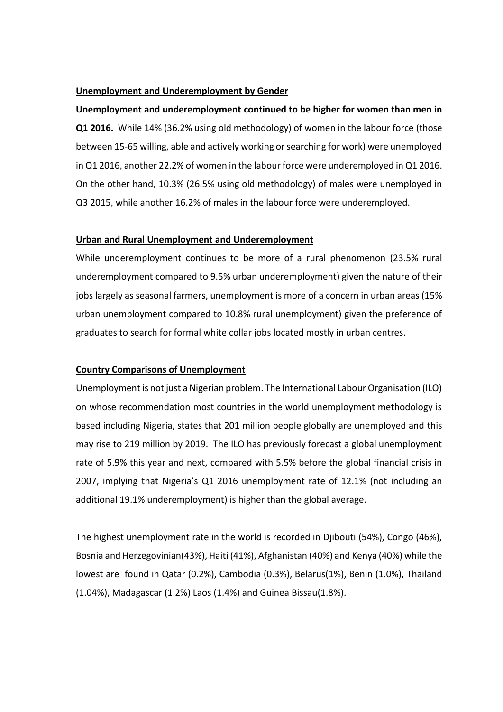#### **Unemployment and Underemployment by Gender**

**Unemployment and underemployment continued to be higher for women than men in Q1 2016.** While 14% (36.2% using old methodology) of women in the labour force (those between 15-65 willing, able and actively working or searching for work) were unemployed in Q1 2016, another 22.2% of women in the labour force were underemployed in Q1 2016. On the other hand, 10.3% (26.5% using old methodology) of males were unemployed in Q3 2015, while another 16.2% of males in the labour force were underemployed.

#### **Urban and Rural Unemployment and Underemployment**

While underemployment continues to be more of a rural phenomenon (23.5% rural underemployment compared to 9.5% urban underemployment) given the nature of their jobs largely as seasonal farmers, unemployment is more of a concern in urban areas (15% urban unemployment compared to 10.8% rural unemployment) given the preference of graduates to search for formal white collar jobs located mostly in urban centres.

#### **Country Comparisons of Unemployment**

Unemployment is not just a Nigerian problem. The International Labour Organisation (ILO) on whose recommendation most countries in the world unemployment methodology is based including Nigeria, states that 201 million people globally are unemployed and this may rise to 219 million by 2019. The ILO has previously forecast a global unemployment rate of 5.9% this year and next, compared with 5.5% before the global financial crisis in 2007, implying that Nigeria's Q1 2016 unemployment rate of 12.1% (not including an additional 19.1% underemployment) is higher than the global average.

The highest unemployment rate in the world is recorded in Djibouti (54%), Congo (46%), Bosnia and Herzegovinian(43%), Haiti (41%), Afghanistan (40%) and Kenya (40%) while the lowest are found in Qatar (0.2%), Cambodia (0.3%), Belarus(1%), Benin (1.0%), Thailand (1.04%), Madagascar (1.2%) Laos (1.4%) and Guinea Bissau(1.8%).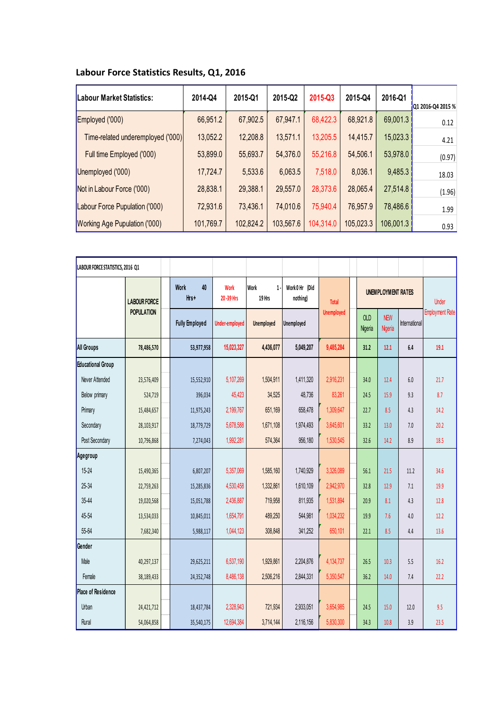| Labour Force Statistics Results, Q1, 2016 |  |  |  |  |
|-------------------------------------------|--|--|--|--|
|-------------------------------------------|--|--|--|--|

| Labour Market Statistics:            | 2014-Q4   | 2015-Q1   | 2015-Q2   | 2015-Q3   | 2015-Q4   | 2016-Q1   | Q1 2016-Q4 2015 % |
|--------------------------------------|-----------|-----------|-----------|-----------|-----------|-----------|-------------------|
| Employed ('000)                      | 66,951.2  | 67,902.5  | 67,947.1  | 68,422.3  | 68,921.8  | 69,001.3  | 0.12              |
| Time-related underemployed ('000)    | 13,052.2  | 12,208.8  | 13,571.1  | 13,205.5  | 14,415.7  | 15,023.3  | 4.21              |
| Full time Employed ('000)            | 53,899.0  | 55,693.7  | 54,376.0  | 55,216.8  | 54,506.1  | 53,978.0  | (0.97)            |
| Unemployed ('000)                    | 17,724.7  | 5,533.6   | 6,063.5   | 7,518.0   | 8,036.1   | 9,485.3   | 18.03             |
| Not in Labour Force ('000)           | 28,838.1  | 29,388.1  | 29,557.0  | 28,373.6  | 28,065.4  | 27,514.8  | (1.96)            |
| Labour Force Pupulation ('000)       | 72,931.6  | 73,436.1  | 74,010.6  | 75,940.4  | 76,957.9  | 78,486.6  | 1.99              |
| <b>Working Age Pupulation ('000)</b> | 101,769.7 | 102,824.2 | 103,567.6 | 104,314.0 | 105,023.3 | 106,001.3 | 0.93              |

| LABOUR FORCE STATISTICS, 2016 Q1 |                     |                           |                          |                                |                            |                   |                           |                       |               |                        |
|----------------------------------|---------------------|---------------------------|--------------------------|--------------------------------|----------------------------|-------------------|---------------------------|-----------------------|---------------|------------------------|
|                                  | <b>LABOUR FORCE</b> | 40<br><b>Work</b><br>Hrs+ | <b>Work</b><br>20-39 Hrs | <b>Work</b><br>$1 -$<br>19 Hrs | Work 0 Hr (Did<br>nothing) | <b>Total</b>      | <b>UNEMPLOYMENT RATES</b> |                       |               | <b>Under</b>           |
|                                  | <b>POPULATION</b>   | <b>Fully Employed</b>     | <b>Under-employed</b>    | Unemployed                     | <b>Unemployed</b>          | <b>Unemployed</b> | <b>OLD</b><br>Nigeria     | <b>NEW</b><br>Nigeria | International | <b>Employment Rate</b> |
| <b>All Groups</b>                | 78,486,570          | 53,977,958                | 15,023,327               | 4,436,077                      | 5,049,207                  | 9,485,284         | 31.2                      | 12.1                  | 6.4           | 19.1                   |
| <b>Educational Group</b>         |                     |                           |                          |                                |                            |                   |                           |                       |               |                        |
| Never Attended                   | 23,576,409          | 15,552,910                | 5,107,269                | 1,504,911                      | 1,411,320                  | 2,916,231         | 34.0                      | 12.4                  | 6.0           | 21.7                   |
| Below primary                    | 524,719             | 396,034                   | 45,423                   | 34,525                         | 48,736                     | 83,261            | 24.5                      | 15.9                  | 9.3           | 8.7                    |
| Primary                          | 15,484,657          | 11,975,243                | 2,199,767                | 651,169                        | 658,478                    | 1,309,647         | 22.7                      | 8.5                   | 4.3           | 14.2                   |
| Secondary                        | 28,103,917          | 18,779,729                | 5,678,588                | 1,671,108                      | 1,974,493                  | 3,645,601         | 33.2                      | 13.0                  | 7.0           | 20.2                   |
| Post Secondary                   | 10,796,868          | 7,274,043                 | 1,992,281                | 574,364                        | 956,180                    | 1,530,545         | 32.6                      | 14.2                  | 8.9           | 18.5                   |
| Agegroup                         |                     |                           |                          |                                |                            |                   |                           |                       |               |                        |
| 15-24                            | 15,490,365          | 6,807,207                 | 5,357,069                | 1,585,160                      | 1,740,929                  | 3,326,089         | 56.1                      | 21.5                  | 11.2          | 34.6                   |
| 25-34                            | 22,759,263          | 15,285,836                | 4,530,458                | 1,332,861                      | 1,610,109                  | 2,942,970         | 32.8                      | 12.9                  | 7.1           | 19.9                   |
| 35-44                            | 19,020,568          | 15,051,788                | 2,436,887                | 719,958                        | 811,935                    | 1,531,894         | 20.9                      | 8.1                   | 4.3           | 12.8                   |
| 45-54                            | 13,534,033          | 10,845,011                | 1,654,791                | 489,250                        | 544,981                    | 1,034,232         | 19.9                      | 7.6                   | 4.0           | 12.2                   |
| 55-64                            | 7,682,340           | 5,988,117                 | 1,044,123                | 308,848                        | 341,252                    | 650,101           | 22.1                      | 8.5                   | 4.4           | 13.6                   |
| Gender                           |                     |                           |                          |                                |                            |                   |                           |                       |               |                        |
| Male                             | 40,297,137          | 29,625,211                | 6,537,190                | 1,929,861                      | 2,204,876                  | 4,134,737         | 26.5                      | 10.3                  | 5.5           | 16.2                   |
| Female                           | 38,189,433          | 24,352,748                | 8,486,138                | 2,506,216                      | 2,844,331                  | 5,350,547         | 36.2                      | 14.0                  | 7.4           | 22.2                   |
| <b>Place of Residence</b>        |                     |                           |                          |                                |                            |                   |                           |                       |               |                        |
| Urban                            | 24,421,712          | 18,437,784                | 2,328,943                | 721,934                        | 2,933,051                  | 3,654,985         | 24.5                      | 15.0                  | 12.0          | 9.5                    |
| Rural                            | 54,064,858          | 35,540,175                | 12,694,384               | 3,714,144                      | 2,116,156                  | 5,830,300         | 34.3                      | 10.8                  | 3.9           | 23.5                   |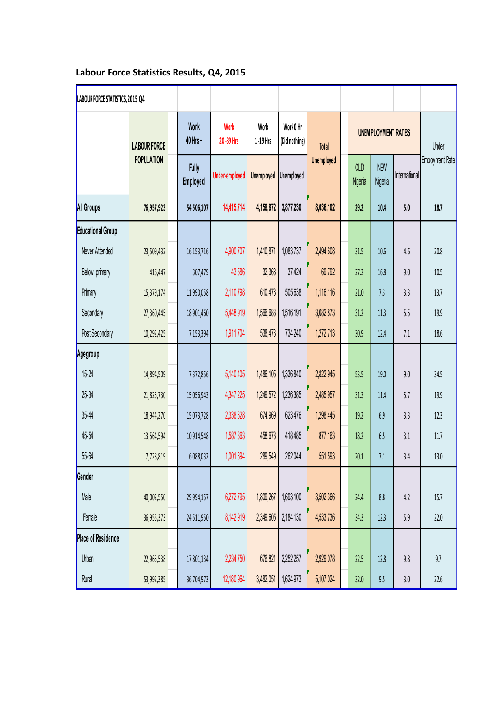## **Labour Force Statistics Results, Q4, 2015**

| LABOUR FORCE STATISTICS, 2015 Q4 |                     |                                 |                          |                   |                            |                   |                       |                       |                                    |                        |
|----------------------------------|---------------------|---------------------------------|--------------------------|-------------------|----------------------------|-------------------|-----------------------|-----------------------|------------------------------------|------------------------|
|                                  | <b>LABOUR FORCE</b> | <b>Work</b><br>40 Hrs+          | <b>Work</b><br>20-39 Hrs | Work<br>1-19 Hrs  | Work 0 Hr<br>(Did nothing) | Total             |                       |                       | <b>UNEMPLOYMENT RATES</b><br>Under |                        |
|                                  | <b>POPULATION</b>   | <b>Fully</b><br><b>Employed</b> | <b>Under-employed</b>    | <b>Unemployed</b> | Unemployed                 | <b>Unemployed</b> | <b>OLD</b><br>Nigeria | <b>NEW</b><br>Nigeria | International                      | <b>Employment Rate</b> |
| <b>All Groups</b>                | 76,957,923          | 54,506,107                      | 14,415,714               | 4,158,872         | 3,877,230                  | 8,036,102         | 29.2                  | 10.4                  | 5.0                                | 18.7                   |
| Educational Group                |                     |                                 |                          |                   |                            |                   |                       |                       |                                    |                        |
| Never Attended                   | 23,509,432          | 16,153,716                      | 4,900,707                | 1,410,871         | 1,083,737                  | 2,494,608         | 31.5                  | 10.6                  | 4.6                                | 20.8                   |
| Below primary                    | 416,447             | 307,479                         | 43,586                   | 32,368            | 37,424                     | 69,792            | 27.2                  | 16.8                  | 9.0                                | 10.5                   |
| Primary                          | 15,379,174          | 11,990,058                      | 2,110,798                | 610,478           | 505,638                    | 1,116,116         | 21.0                  | 7.3                   | 3.3                                | 13.7                   |
| Secondary                        | 27,360,445          | 18,901,460                      | 5,448,919                | 1,566,683         | 1,516,191                  | 3,082,873         | 31.2                  | 11.3                  | 5.5                                | 19.9                   |
| Post Secondary                   | 10,292,425          | 7,153,394                       | 1,911,704                | 538,473           | 734,240                    | 1,272,713         | 30.9                  | 12.4                  | 7.1                                | 18.6                   |
| Agegroup                         |                     |                                 |                          |                   |                            |                   |                       |                       |                                    |                        |
| $15 - 24$                        | 14,894,509          | 7,372,856                       | 5,140,405                | 1,486,105         | 1,336,840                  | 2,822,945         | 53.5                  | 19.0                  | 9.0                                | 34.5                   |
| 25-34                            | 21,825,730          | 15,056,943                      | 4,347,225                | 1,249,572         | 1,236,385                  | 2,485,957         | 31.3                  | 11.4                  | 5.7                                | 19.9                   |
| 35-44                            | 18,944,270          | 15,073,728                      | 2,338,328                | 674,969           | 623,476                    | 1,298,445         | 19.2                  | 6.9                   | 3.3                                | 12.3                   |
| 45-54                            | 13,564,594          | 10,914,548                      | 1,587,863                | 458,678           | 418,485                    | 877,163           | 18.2                  | 6.5                   | 3.1                                | 11.7                   |
| 55-64                            | 7,728,819           | 6,088,032                       | 1,001,894                | 289,549           | 262,044                    | 551,593           | 20.1                  | 7.1                   | 3.4                                | 13.0                   |
| Gender                           |                     |                                 |                          |                   |                            |                   |                       |                       |                                    |                        |
| Male                             | 40,002,550          | 29,994,157                      | 6,272,795                | 1,809,267         | 1,693,100                  | 3,502,366         | 24.4                  | 8.8                   | 4.2                                | 15.7                   |
| Female                           | 36,955,373          | 24,511,950                      | 8,142,919                | 2,349,605         | 2,184,130                  | 4,533,736         | 34.3                  | 12.3                  | 5.9                                | 22.0                   |
| <b>Place of Residence</b>        |                     |                                 |                          |                   |                            |                   |                       |                       |                                    |                        |
| <b>Urban</b>                     | 22,965,538          | 17,801,134                      | 2,234,750                | 676,821           | 2,252,257                  | 2,929,078         | 22.5                  | 12.8                  | 9.8                                | 9.7                    |
| Rural                            | 53,992,385          | 36,704,973                      | 12,180,964               | 3,482,051         | 1,624,973                  | 5,107,024         | 32.0                  | $9.5\,$               | $3.0\,$                            | 22.6                   |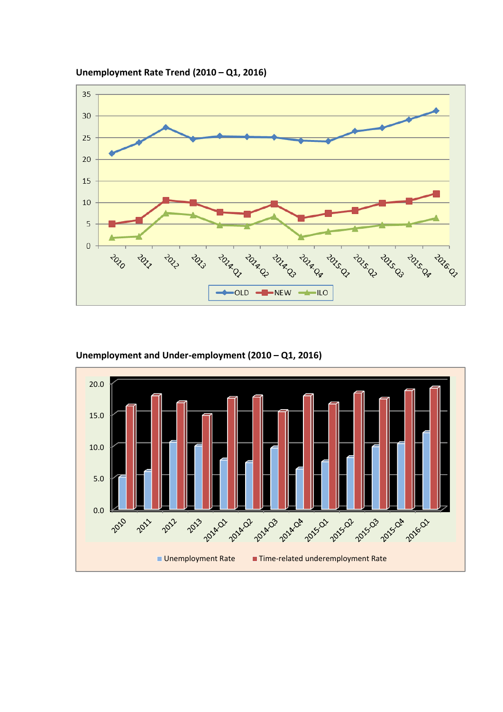

**Unemployment Rate Trend (2010 – Q1, 2016)**



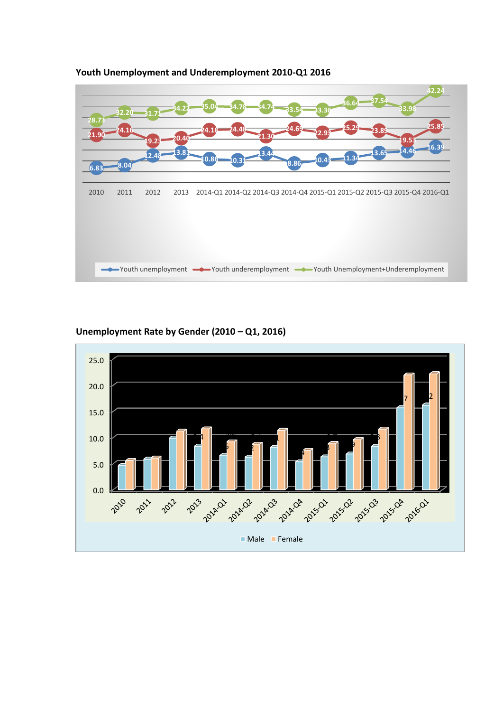

## **Youth Unemployment and Underemployment 2010-Q1 2016**

## **Unemployment Rate by Gender (2010 – Q1, 2016)**

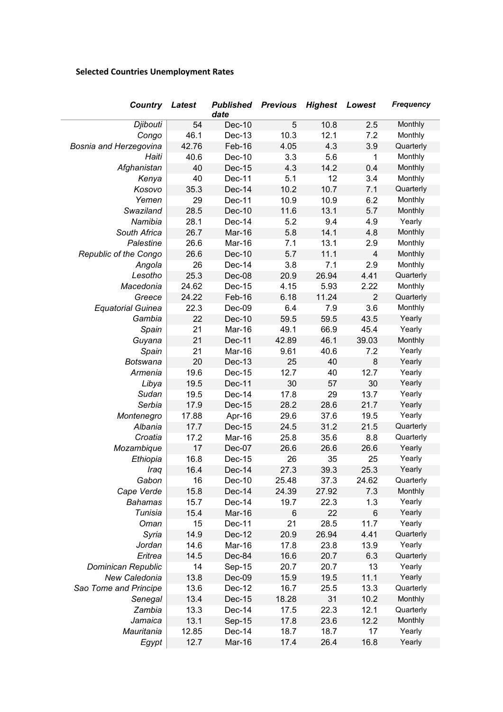## **Selected Countries Unemployment Rates**

| Country                      | Latest | <b>Published</b><br>date | <b>Previous</b> | <b>Highest</b> | Lowest         | <b>Frequency</b> |
|------------------------------|--------|--------------------------|-----------------|----------------|----------------|------------------|
| Djibouti                     | 54     | Dec-10                   | 5               | 10.8           | 2.5            | Monthly          |
| Congo                        | 46.1   | Dec-13                   | 10.3            | 12.1           | 7.2            | Monthly          |
| Bosnia and Herzegovina       | 42.76  | Feb-16                   | 4.05            | 4.3            | 3.9            | Quarterly        |
| Haiti                        | 40.6   | Dec-10                   | 3.3             | 5.6            | 1              | Monthly          |
| Afghanistan                  | 40     | Dec-15                   | 4.3             | 14.2           | 0.4            | Monthly          |
| Kenya                        | 40     | Dec-11                   | 5.1             | 12             | 3.4            | Monthly          |
| Kosovo                       | 35.3   | Dec-14                   | 10.2            | 10.7           | 7.1            | Quarterly        |
| Yemen                        | 29     | Dec-11                   | 10.9            | 10.9           | 6.2            | Monthly          |
| Swaziland                    | 28.5   | Dec-10                   | 11.6            | 13.1           | 5.7            | Monthly          |
| Namibia                      | 28.1   | Dec-14                   | 5.2             | 9.4            | 4.9            | Yearly           |
| South Africa                 | 26.7   | Mar-16                   | 5.8             | 14.1           | 4.8            | Monthly          |
| Palestine                    | 26.6   | Mar-16                   | 7.1             | 13.1           | 2.9            | Monthly          |
| <b>Republic of the Congo</b> | 26.6   | Dec-10                   | 5.7             | 11.1           | $\overline{4}$ | Monthly          |
| Angola                       | 26     | Dec-14                   | 3.8             | 7.1            | 2.9            | Monthly          |
| Lesotho                      | 25.3   | Dec-08                   | 20.9            | 26.94          | 4.41           | Quarterly        |
| Macedonia                    | 24.62  | Dec-15                   | 4.15            | 5.93           | 2.22           | Monthly          |
| Greece                       | 24.22  | Feb-16                   | 6.18            | 11.24          | $\overline{2}$ | Quarterly        |
| <b>Equatorial Guinea</b>     | 22.3   | Dec-09                   | 6.4             | 7.9            | 3.6            | Monthly          |
| Gambia                       | 22     | Dec-10                   | 59.5            | 59.5           | 43.5           | Yearly           |
| Spain                        | 21     | Mar-16                   | 49.1            | 66.9           | 45.4           | Yearly           |
| Guyana                       | 21     | Dec-11                   | 42.89           | 46.1           | 39.03          | Monthly          |
| Spain                        | 21     | Mar-16                   | 9.61            | 40.6           | 7.2            | Yearly           |
| Botswana                     | 20     | Dec-13                   | 25              | 40             | 8              | Yearly           |
| Armenia                      | 19.6   | Dec-15                   | 12.7            | 40             | 12.7           | Yearly           |
| Libya                        | 19.5   | <b>Dec-11</b>            | 30              | 57             | 30             | Yearly           |
| Sudan                        | 19.5   | Dec-14                   | 17.8            | 29             | 13.7           | Yearly           |
| Serbia                       | 17.9   | Dec-15                   | 28.2            | 28.6           | 21.7           | Yearly           |
| Montenegro                   | 17.88  | Apr-16                   | 29.6            | 37.6           | 19.5           | Yearly           |
| Albania                      | 17.7   | Dec-15                   | 24.5            | 31.2           | 21.5           | Quarterly        |
| Croatia                      | 17.2   | Mar-16                   | 25.8            | 35.6           | 8.8            | Quarterly        |
| Mozambique                   | 17     | Dec-07                   | 26.6            | 26.6           | 26.6           | Yearly           |
| Ethiopia                     | 16.8   | Dec-15                   | 26              | 35             | 25             | Yearly           |
| Iraq                         | 16.4   | Dec-14                   | 27.3            | 39.3           | 25.3           | Yearly           |
| Gabon                        | 16     | Dec-10                   | 25.48           | 37.3           | 24.62          | Quarterly        |
| Cape Verde                   | 15.8   | Dec-14                   | 24.39           | 27.92          | 7.3            | Monthly          |
| <b>Bahamas</b>               | 15.7   | Dec-14                   | 19.7            | 22.3           | 1.3            | Yearly           |
| Tunisia                      | 15.4   | Mar-16                   | 6               | 22             | 6              | Yearly           |
| Oman                         | 15     | Dec-11                   | 21              | 28.5           | 11.7           | Yearly           |
| Syria                        | 14.9   | Dec-12                   | 20.9            | 26.94          | 4.41           | Quarterly        |
| Jordan                       | 14.6   | Mar-16                   | 17.8            | 23.8           | 13.9           | Yearly           |
| Eritrea                      | 14.5   | Dec-84                   | 16.6            | 20.7           | 6.3            | Quarterly        |
| Dominican Republic           | 14     | Sep-15                   | 20.7            | 20.7           | 13             | Yearly           |
| New Caledonia                | 13.8   | Dec-09                   | 15.9            | 19.5           | 11.1           | Yearly           |
|                              |        |                          |                 |                |                |                  |
| Sao Tome and Principe        | 13.6   | Dec-12                   | 16.7            | 25.5           | 13.3           | Quarterly        |
| Senegal                      | 13.4   | Dec-15                   | 18.28           | 31             | 10.2           | Monthly          |
| Zambia                       | 13.3   | Dec-14                   | 17.5            | 22.3           | 12.1           | Quarterly        |
| Jamaica                      | 13.1   | Sep-15                   | 17.8            | 23.6           | 12.2           | Monthly          |
| Mauritania                   | 12.85  | Dec-14                   | 18.7            | 18.7           | 17             | Yearly           |
| Egypt                        | 12.7   | Mar-16                   | 17.4            | 26.4           | 16.8           | Yearly           |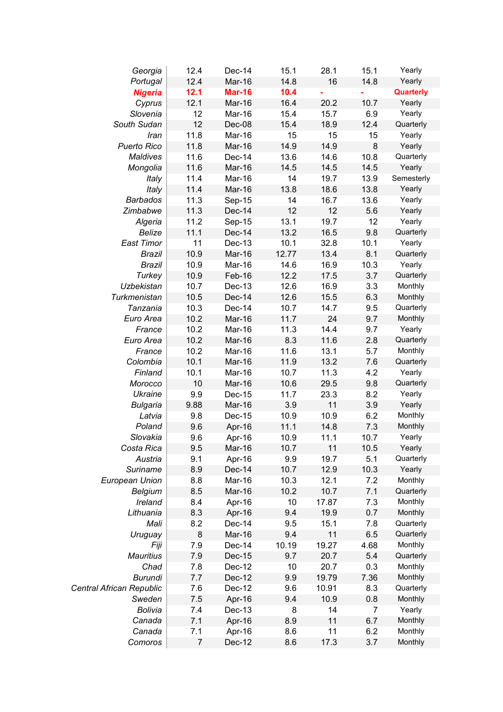| Georgia                  | 12.4           | Dec-14        | 15.1  | 28.1  | 15.1    | Yearly     |
|--------------------------|----------------|---------------|-------|-------|---------|------------|
| Portugal                 | 12.4           | Mar-16        | 14.8  | 16    | 14.8    | Yearly     |
| <b>Nigeria</b>           | 12.1           | <b>Mar-16</b> | 10.4  |       |         | Quarterly  |
| Cyprus                   | 12.1           | Mar-16        | 16.4  | 20.2  | 10.7    | Yearly     |
| Slovenia                 | 12             | Mar-16        | 15.4  | 15.7  | 6.9     | Yearly     |
| South Sudan              | 12             | Dec-08        | 15.4  | 18.9  | 12.4    | Quarterly  |
| Iran                     | 11.8           | Mar-16        | 15    | 15    | 15      | Yearly     |
| Puerto Rico              | 11.8           | Mar-16        | 14.9  | 14.9  | $\bf 8$ | Yearly     |
| Maldives                 | 11.6           | Dec-14        | 13.6  | 14.6  | 10.8    | Quarterly  |
| Mongolia                 | 11.6           | Mar-16        | 14.5  | 14.5  | 14.5    | Yearly     |
| Italy                    | 11.4           | Mar-16        | 14    | 19.7  | 13.9    | Semesterly |
| Italy                    | 11.4           | Mar-16        | 13.8  | 18.6  | 13.8    | Yearly     |
| <b>Barbados</b>          | 11.3           | Sep-15        | 14    | 16.7  | 13.6    | Yearly     |
| Zimbabwe                 | 11.3           | Dec-14        | 12    | 12    | 5.6     | Yearly     |
| Algeria                  | 11.2           | Sep-15        | 13.1  | 19.7  | 12      | Yearly     |
| <b>Belize</b>            | 11.1           | Dec-14        | 13.2  | 16.5  | 9.8     | Quarterly  |
| East Timor               | 11             | Dec-13        | 10.1  | 32.8  | 10.1    | Yearly     |
| <b>Brazil</b>            | 10.9           | Mar-16        | 12.77 | 13.4  | 8.1     | Quarterly  |
| Brazil                   | 10.9           | Mar-16        | 14.6  | 16.9  | 10.3    | Yearly     |
| Turkey                   | 10.9           | Feb-16        | 12.2  | 17.5  | 3.7     | Quarterly  |
| <b>Uzbekistan</b>        | 10.7           | Dec-13        | 12.6  | 16.9  | 3.3     | Monthly    |
| Turkmenistan             | 10.5           | Dec-14        | 12.6  | 15.5  | 6.3     | Monthly    |
| Tanzania                 | 10.3           | Dec-14        | 10.7  | 14.7  | 9.5     | Quarterly  |
| Euro Area                | 10.2           | Mar-16        | 11.7  | 24    | 9.7     | Monthly    |
| France                   | 10.2           | Mar-16        | 11.3  | 14.4  | 9.7     | Yearly     |
| Euro Area                | 10.2           | Mar-16        | 8.3   | 11.6  | 2.8     | Quarterly  |
| France                   | 10.2           | Mar-16        | 11.6  | 13.1  | 5.7     | Monthly    |
| Colombia                 | 10.1           | Mar-16        | 11.9  | 13.2  | 7.6     | Quarterly  |
| Finland                  | 10.1           | Mar-16        | 10.7  | 11.3  | 4.2     | Yearly     |
| Morocco                  | 10             | Mar-16        | 10.6  | 29.5  | 9.8     | Quarterly  |
| <b>Ukraine</b>           | 9.9            | Dec-15        | 11.7  | 23.3  | 8.2     | Yearly     |
| <b>Bulgaria</b>          | 9.88           | Mar-16        | 3.9   | 11    | 3.9     | Yearly     |
| Latvia                   | 9.8            | Dec-15        | 10.9  | 10.9  | 6.2     | Monthly    |
| Poland                   | 9.6            | Apr-16        | 11.1  | 14.8  | 7.3     | Monthly    |
| Slovakia                 | 9.6            | Apr-16        | 10.9  | 11.1  | 10.7    | Yearly     |
| Costa Rica               | 9.5            | Mar-16        | 10.7  | 11    | 10.5    | Yearly     |
| Austria                  | 9.1            | Apr-16        | 9.9   | 19.7  | 5.1     | Quarterly  |
| Suriname                 | 8.9            | Dec-14        | 10.7  | 12.9  | 10.3    | Yearly     |
| European Union           | 8.8            | Mar-16        | 10.3  | 12.1  | 7.2     | Monthly    |
| <b>Belgium</b>           | 8.5            | Mar-16        | 10.2  | 10.7  | 7.1     | Quarterly  |
| Ireland                  | 8.4            | Apr-16        | 10    | 17.87 | 7.3     | Monthly    |
| Lithuania                | 8.3            | Apr-16        | 9.4   | 19.9  | 0.7     | Monthly    |
| Mali                     | 8.2            | Dec-14        | 9.5   | 15.1  | 7.8     | Quarterly  |
| Uruguay                  | 8              | Mar-16        | 9.4   | 11    | 6.5     | Quarterly  |
| Fiji                     | 7.9            | Dec-14        | 10.19 | 19.27 | 4.68    | Monthly    |
| <b>Mauritius</b>         | 7.9            | Dec-15        | 9.7   | 20.7  | 5.4     | Quarterly  |
| Chad                     | 7.8            | Dec-12        | 10    | 20.7  | 0.3     | Monthly    |
| Burundi                  | 7.7            | Dec-12        | 9.9   | 19.79 | 7.36    | Monthly    |
| Central African Republic | 7.6            | Dec-12        | 9.6   | 10.91 | 8.3     | Quarterly  |
| Sweden                   | 7.5            | Apr-16        | 9.4   | 10.9  | 0.8     | Monthly    |
| Bolivia                  | 7.4            | Dec-13        | 8     | 14    | 7       | Yearly     |
| Canada                   | 7.1            | Apr-16        | 8.9   | 11    | 6.7     | Monthly    |
| Canada                   | 7.1            | Apr-16        | 8.6   | 11    | 6.2     | Monthly    |
| Comoros                  | $\overline{7}$ | Dec-12        | 8.6   | 17.3  | 3.7     | Monthly    |
|                          |                |               |       |       |         |            |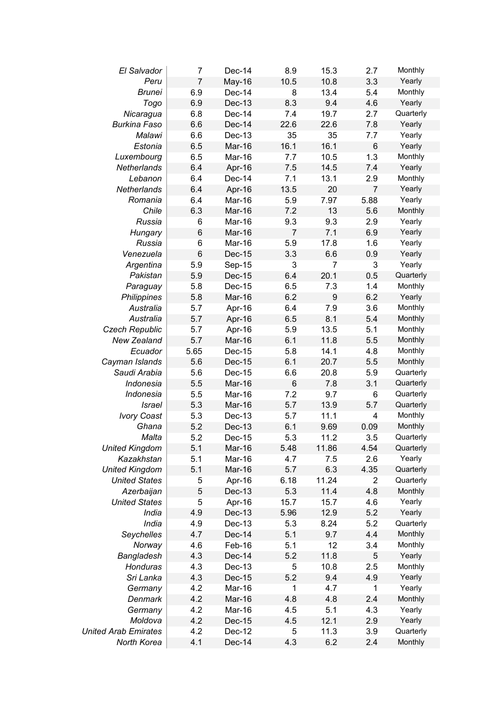| El Salvador                 | $\overline{7}$  | Dec-14 | 8.9            | 15.3             | 2.7             | Monthly   |
|-----------------------------|-----------------|--------|----------------|------------------|-----------------|-----------|
| Peru                        | $\overline{7}$  | May-16 | 10.5           | 10.8             | 3.3             | Yearly    |
| <b>Brunei</b>               | 6.9             | Dec-14 | 8              | 13.4             | 5.4             | Monthly   |
| Togo                        | 6.9             | Dec-13 | 8.3            | 9.4              | 4.6             | Yearly    |
| Nicaragua                   | 6.8             | Dec-14 | 7.4            | 19.7             | 2.7             | Quarterly |
| <b>Burkina Faso</b>         | 6.6             | Dec-14 | 22.6           | 22.6             | 7.8             | Yearly    |
| Malawi                      | 6.6             | Dec-13 | 35             | 35               | 7.7             | Yearly    |
| Estonia                     | 6.5             | Mar-16 | 16.1           | 16.1             | $6\phantom{1}6$ | Yearly    |
| Luxembourg                  | 6.5             | Mar-16 | 7.7            | 10.5             | 1.3             | Monthly   |
| Netherlands                 | 6.4             | Apr-16 | 7.5            | 14.5             | 7.4             | Yearly    |
| Lebanon                     | 6.4             | Dec-14 | 7.1            | 13.1             | 2.9             | Monthly   |
| Netherlands                 | 6.4             | Apr-16 | 13.5           | 20               | $\overline{7}$  | Yearly    |
| Romania                     | 6.4             | Mar-16 | 5.9            | 7.97             | 5.88            | Yearly    |
| Chile                       | 6.3             | Mar-16 | 7.2            | 13               | 5.6             | Monthly   |
| Russia                      | 6               | Mar-16 | 9.3            | 9.3              | 2.9             | Yearly    |
| Hungary                     | 6               | Mar-16 | $\overline{7}$ | 7.1              | 6.9             | Yearly    |
| Russia                      | 6               | Mar-16 | 5.9            | 17.8             | 1.6             | Yearly    |
| Venezuela                   | $6\phantom{1}6$ | Dec-15 | 3.3            | 6.6              | 0.9             | Yearly    |
| Argentina                   | 5.9             | Sep-15 | 3              | 7                | 3               | Yearly    |
| Pakistan                    | 5.9             | Dec-15 | 6.4            | 20.1             | 0.5             | Quarterly |
| Paraguay                    | 5.8             | Dec-15 | 6.5            | 7.3              | 1.4             | Monthly   |
| Philippines                 | 5.8             | Mar-16 | 6.2            | $\boldsymbol{9}$ | 6.2             | Yearly    |
| Australia                   | 5.7             | Apr-16 | 6.4            | 7.9              | 3.6             | Monthly   |
| Australia                   | 5.7             |        | 6.5            | 8.1              | 5.4             | Monthly   |
|                             | 5.7             | Apr-16 | 5.9            | 13.5             | 5.1             | Monthly   |
| <b>Czech Republic</b>       |                 | Apr-16 |                |                  |                 |           |
| <b>New Zealand</b>          | 5.7             | Mar-16 | 6.1            | 11.8             | 5.5             | Monthly   |
| Ecuador                     | 5.65            | Dec-15 | 5.8            | 14.1             | 4.8             | Monthly   |
| Cayman Islands              | 5.6             | Dec-15 | 6.1            | 20.7             | 5.5             | Monthly   |
| Saudi Arabia                | 5.6             | Dec-15 | 6.6            | 20.8             | 5.9             | Quarterly |
| Indonesia                   | 5.5             | Mar-16 | 6              | 7.8              | 3.1             | Quarterly |
| Indonesia                   | 5.5             | Mar-16 | 7.2            | 9.7              | 6               | Quarterly |
| <i><b>Israel</b></i>        | 5.3             | Mar-16 | 5.7            | 13.9             | 5.7             | Quarterly |
| <b>Ivory Coast</b>          | 5.3             | Dec-13 | 5.7            | 11.1             | 4               | Monthly   |
| Ghana                       | 5.2             | Dec-13 | 6.1            | 9.69             | 0.09            | Monthly   |
| Malta                       | 5.2             | Dec-15 | 5.3            | 11.2             | 3.5             | Quarterly |
| <b>United Kingdom</b>       | 5.1             | Mar-16 | 5.48           | 11.86            | 4.54            | Quarterly |
| Kazakhstan                  | 5.1             | Mar-16 | 4.7            | 7.5              | 2.6             | Yearly    |
| <b>United Kingdom</b>       | 5.1             | Mar-16 | 5.7            | 6.3              | 4.35            | Quarterly |
| <b>United States</b>        | 5               | Apr-16 | 6.18           | 11.24            | $\overline{2}$  | Quarterly |
| Azerbaijan                  | 5               | Dec-13 | 5.3            | 11.4             | 4.8             | Monthly   |
| <b>United States</b>        | 5               | Apr-16 | 15.7           | 15.7             | 4.6             | Yearly    |
| India                       | 4.9             | Dec-13 | 5.96           | 12.9             | 5.2             | Yearly    |
| India                       | 4.9             | Dec-13 | 5.3            | 8.24             | 5.2             | Quarterly |
| Seychelles                  | 4.7             | Dec-14 | 5.1            | 9.7              | 4.4             | Monthly   |
| Norway                      | 4.6             | Feb-16 | 5.1            | 12               | 3.4             | Monthly   |
| <b>Bangladesh</b>           | 4.3             | Dec-14 | 5.2            | 11.8             | 5               | Yearly    |
| <b>Honduras</b>             | 4.3             | Dec-13 | 5              | 10.8             | 2.5             | Monthly   |
| Sri Lanka                   | 4.3             | Dec-15 | 5.2            | 9.4              | 4.9             | Yearly    |
| Germany                     | 4.2             | Mar-16 | 1              | 4.7              | 1               | Yearly    |
| Denmark                     | 4.2             | Mar-16 | 4.8            | 4.8              | 2.4             | Monthly   |
| Germany                     | 4.2             | Mar-16 | 4.5            | 5.1              | 4.3             | Yearly    |
| Moldova                     | 4.2             | Dec-15 | 4.5            | 12.1             | 2.9             | Yearly    |
| <b>United Arab Emirates</b> | 4.2             | Dec-12 | 5              | 11.3             | 3.9             | Quarterly |
| North Korea                 | 4.1             | Dec-14 | 4.3            | 6.2              | 2.4             | Monthly   |